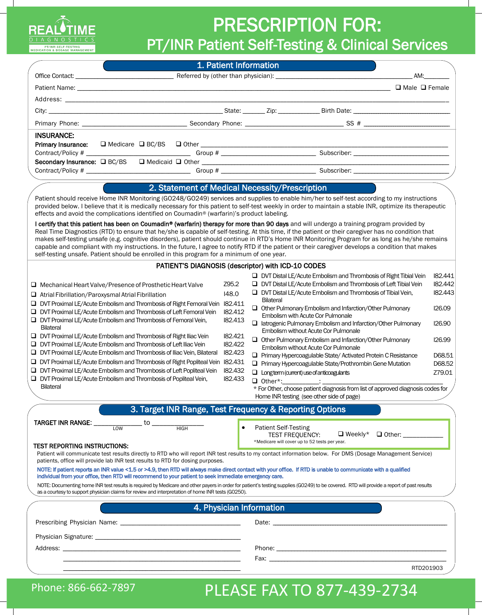

## PRESCRIPTION FOR:

PT/INR Patient Self-Testing & Clinical Services

|                                                                                                                                                                                                                                                                                                                                                                                                                                                                                                                                                                                                                                                                                                                                                                                                                                                                                         | 1. Patient Information                                                                                 |                                                                                                                                                                                                                                                                                                                                                                                                                                                                                                                                                                                                                                                                                                                                                                                                                                                                                                                                                                   |                                                                                                                |
|-----------------------------------------------------------------------------------------------------------------------------------------------------------------------------------------------------------------------------------------------------------------------------------------------------------------------------------------------------------------------------------------------------------------------------------------------------------------------------------------------------------------------------------------------------------------------------------------------------------------------------------------------------------------------------------------------------------------------------------------------------------------------------------------------------------------------------------------------------------------------------------------|--------------------------------------------------------------------------------------------------------|-------------------------------------------------------------------------------------------------------------------------------------------------------------------------------------------------------------------------------------------------------------------------------------------------------------------------------------------------------------------------------------------------------------------------------------------------------------------------------------------------------------------------------------------------------------------------------------------------------------------------------------------------------------------------------------------------------------------------------------------------------------------------------------------------------------------------------------------------------------------------------------------------------------------------------------------------------------------|----------------------------------------------------------------------------------------------------------------|
|                                                                                                                                                                                                                                                                                                                                                                                                                                                                                                                                                                                                                                                                                                                                                                                                                                                                                         |                                                                                                        | AM:                                                                                                                                                                                                                                                                                                                                                                                                                                                                                                                                                                                                                                                                                                                                                                                                                                                                                                                                                               |                                                                                                                |
|                                                                                                                                                                                                                                                                                                                                                                                                                                                                                                                                                                                                                                                                                                                                                                                                                                                                                         |                                                                                                        |                                                                                                                                                                                                                                                                                                                                                                                                                                                                                                                                                                                                                                                                                                                                                                                                                                                                                                                                                                   |                                                                                                                |
|                                                                                                                                                                                                                                                                                                                                                                                                                                                                                                                                                                                                                                                                                                                                                                                                                                                                                         |                                                                                                        |                                                                                                                                                                                                                                                                                                                                                                                                                                                                                                                                                                                                                                                                                                                                                                                                                                                                                                                                                                   |                                                                                                                |
|                                                                                                                                                                                                                                                                                                                                                                                                                                                                                                                                                                                                                                                                                                                                                                                                                                                                                         |                                                                                                        |                                                                                                                                                                                                                                                                                                                                                                                                                                                                                                                                                                                                                                                                                                                                                                                                                                                                                                                                                                   |                                                                                                                |
|                                                                                                                                                                                                                                                                                                                                                                                                                                                                                                                                                                                                                                                                                                                                                                                                                                                                                         |                                                                                                        |                                                                                                                                                                                                                                                                                                                                                                                                                                                                                                                                                                                                                                                                                                                                                                                                                                                                                                                                                                   |                                                                                                                |
| <b>INSURANCE:</b>                                                                                                                                                                                                                                                                                                                                                                                                                                                                                                                                                                                                                                                                                                                                                                                                                                                                       |                                                                                                        |                                                                                                                                                                                                                                                                                                                                                                                                                                                                                                                                                                                                                                                                                                                                                                                                                                                                                                                                                                   |                                                                                                                |
| Primary Insurance:                                                                                                                                                                                                                                                                                                                                                                                                                                                                                                                                                                                                                                                                                                                                                                                                                                                                      |                                                                                                        |                                                                                                                                                                                                                                                                                                                                                                                                                                                                                                                                                                                                                                                                                                                                                                                                                                                                                                                                                                   |                                                                                                                |
|                                                                                                                                                                                                                                                                                                                                                                                                                                                                                                                                                                                                                                                                                                                                                                                                                                                                                         |                                                                                                        |                                                                                                                                                                                                                                                                                                                                                                                                                                                                                                                                                                                                                                                                                                                                                                                                                                                                                                                                                                   |                                                                                                                |
|                                                                                                                                                                                                                                                                                                                                                                                                                                                                                                                                                                                                                                                                                                                                                                                                                                                                                         |                                                                                                        |                                                                                                                                                                                                                                                                                                                                                                                                                                                                                                                                                                                                                                                                                                                                                                                                                                                                                                                                                                   |                                                                                                                |
|                                                                                                                                                                                                                                                                                                                                                                                                                                                                                                                                                                                                                                                                                                                                                                                                                                                                                         |                                                                                                        |                                                                                                                                                                                                                                                                                                                                                                                                                                                                                                                                                                                                                                                                                                                                                                                                                                                                                                                                                                   |                                                                                                                |
|                                                                                                                                                                                                                                                                                                                                                                                                                                                                                                                                                                                                                                                                                                                                                                                                                                                                                         |                                                                                                        | 2. Statement of Medical Necessity/Prescription                                                                                                                                                                                                                                                                                                                                                                                                                                                                                                                                                                                                                                                                                                                                                                                                                                                                                                                    |                                                                                                                |
| Patient should receive Home INR Monitoring (GO248/GO249) services and supplies to enable him/her to self-test according to my instructions<br>provided below. I believe that it is medically necessary for this patient to self-test weekly in order to maintain a stable INR, optimize its therapeutic<br>effects and avoid the complications identified on Coumadin® (warfarin)'s product labeling.                                                                                                                                                                                                                                                                                                                                                                                                                                                                                   |                                                                                                        |                                                                                                                                                                                                                                                                                                                                                                                                                                                                                                                                                                                                                                                                                                                                                                                                                                                                                                                                                                   |                                                                                                                |
| I certify that this patient has been on Coumadin® (warfarin) therapy for more than 90 days and will undergo a training program provided by<br>Real Time Diagnostics (RTD) to ensure that he/she is capable of self-testing. At this time, if the patient or their caregiver has no condition that<br>makes self-testing unsafe (e.g. cognitive disorders), patient should continue in RTD's Home INR Monitoring Program for as long as he/she remains<br>capable and compliant with my instructions. In the future, I agree to notify RTD if the patient or their caregiver develops a condition that makes<br>self-testing unsafe. Patient should be enrolled in this program for a minimum of one year.                                                                                                                                                                               |                                                                                                        |                                                                                                                                                                                                                                                                                                                                                                                                                                                                                                                                                                                                                                                                                                                                                                                                                                                                                                                                                                   |                                                                                                                |
|                                                                                                                                                                                                                                                                                                                                                                                                                                                                                                                                                                                                                                                                                                                                                                                                                                                                                         |                                                                                                        | PATIENT'S DIAGNOSIS (descriptor) with ICD-10 CODES                                                                                                                                                                                                                                                                                                                                                                                                                                                                                                                                                                                                                                                                                                                                                                                                                                                                                                                |                                                                                                                |
| $\Box$ Mechanical Heart Valve/Presence of Prosthetic Heart Valve<br>$\Box$ Atrial Fibrillation/Paroxysmal Atrial Fibrillation<br><b>DVT Proximal LE/Acute Embolism and Thrombosis of Right Femoral Vein</b><br>□ DVT Proximal LE/Acute Embolism and Thrombosis of Left Femoral Vein<br>$\Box$ DVT Proximal LE/Acute Embolism and Thrombosis of Femoral Vein,<br><b>Bilateral</b><br>$\Box$ DVT Proximal LE/Acute Embolism and Thrombosis of Right Iliac Vein<br><b>DVT Proximal LE/Acute Embolism and Thrombosis of Left Iliac Vein</b><br><b>DVT Proximal LE/Acute Embolism and Thrombosis of Iliac Vein, Bilateral</b><br>DVT Proximal LE/Acute Embolism and Thrombosis of Right Popliteal Vein 182.431<br><b>DVT Proximal LE/Acute Embolism and Thrombosis of Left Popliteal Vein</b><br>$\Box$ DVT Proximal LE/Acute Embolism and Thrombosis of Popliteal Vein,<br><b>Bilateral</b> | Z95.2<br>148.0<br>182.411<br>182.412<br>182.413<br>182.421<br>182.422<br>182.423<br>182.432<br>182.433 | $\Box$ DVT Distal LE/Acute Embolism and Thrombosis of Right Tibial Vein<br>□ DVT Distal LE/Acute Embolism and Thrombosis of Left Tibial Vein<br>$\Box$ DVT Distal LE/Acute Embolism and Thrombosis of Tibial Vein,<br><b>Bilateral</b><br>Other Pulmonary Embolism and Infarction/Other Pulmonary<br>Embolism with Acute Cor Pulmonale<br>$\Box$ latrogenic Pulmonary Embolism and Infarction/Other Pulmonary<br>Embolism without Acute Cor Pulmonale<br>Other Pulmonary Embolism and Infarction/Other Pulmonary<br>Embolism without Acute Cor Pulmonale<br>Primary Hypercoagulable State/Activated Protein C Resistance<br>$\Box$ Primary Hypercoagulable State/Prothrombin Gene Mutation<br>$\Box$ Longterm (current) use of anticoagulants<br>$\Box$ Other*: $\Box$<br>* For Other, choose patient diagnosis from list of approved diagnosis codes for<br>Home INR testing (see other side of page)<br>3. Target INR Range, Test Frequency & Reporting Options | 182.441<br>182.442<br>182.443<br><b>I26.09</b><br><b>I26.90</b><br><b>I26.99</b><br>D68.51<br>D68.52<br>Z79.01 |
| <b>TARGET INR RANGE:</b><br>$\cdot$ to $\_$<br>HIGH<br>LOW<br><b>TEST REPORTING INSTRUCTIONS:</b><br>Patient will communicate test results directly to RTD who will report INR test results to my contact information below. For DMS (Dosage Management Service)                                                                                                                                                                                                                                                                                                                                                                                                                                                                                                                                                                                                                        | $\bullet$                                                                                              | <b>Patient Self-Testing</b><br>$\Box$ Weekly*<br>□ Other: ___________<br><b>TEST FREOUENCY:</b><br>*Medicare will cover up to 52 tests per year.                                                                                                                                                                                                                                                                                                                                                                                                                                                                                                                                                                                                                                                                                                                                                                                                                  |                                                                                                                |
| patients, office will provide lab INR test results to RTD for dosing purposes.<br>NOTE: If patient reports an INR value <1.5 or >4.9, then RTD will always make direct contact with your office. If RTD is unable to communicate with a qualified<br>individual from your office, then RTD will recommend to your patient to seek immediate emergency care.<br>NOTE: Documenting home INR test results is required by Medicare and other payers in order for patient's testing supplies (GO249) to be covered. RTD will provide a report of past results<br>as a courtesy to support physician claims for review and interpretation of home INR tests (GO250).                                                                                                                                                                                                                          |                                                                                                        |                                                                                                                                                                                                                                                                                                                                                                                                                                                                                                                                                                                                                                                                                                                                                                                                                                                                                                                                                                   |                                                                                                                |
|                                                                                                                                                                                                                                                                                                                                                                                                                                                                                                                                                                                                                                                                                                                                                                                                                                                                                         |                                                                                                        | 4. Physician Information                                                                                                                                                                                                                                                                                                                                                                                                                                                                                                                                                                                                                                                                                                                                                                                                                                                                                                                                          |                                                                                                                |
|                                                                                                                                                                                                                                                                                                                                                                                                                                                                                                                                                                                                                                                                                                                                                                                                                                                                                         |                                                                                                        |                                                                                                                                                                                                                                                                                                                                                                                                                                                                                                                                                                                                                                                                                                                                                                                                                                                                                                                                                                   |                                                                                                                |
|                                                                                                                                                                                                                                                                                                                                                                                                                                                                                                                                                                                                                                                                                                                                                                                                                                                                                         |                                                                                                        |                                                                                                                                                                                                                                                                                                                                                                                                                                                                                                                                                                                                                                                                                                                                                                                                                                                                                                                                                                   |                                                                                                                |
|                                                                                                                                                                                                                                                                                                                                                                                                                                                                                                                                                                                                                                                                                                                                                                                                                                                                                         |                                                                                                        |                                                                                                                                                                                                                                                                                                                                                                                                                                                                                                                                                                                                                                                                                                                                                                                                                                                                                                                                                                   |                                                                                                                |
|                                                                                                                                                                                                                                                                                                                                                                                                                                                                                                                                                                                                                                                                                                                                                                                                                                                                                         |                                                                                                        | Fax: The contract of the contract of the contract of the contract of the contract of the contract of the contract of the contract of the contract of the contract of the contract of the contract of the contract of the contr                                                                                                                                                                                                                                                                                                                                                                                                                                                                                                                                                                                                                                                                                                                                    |                                                                                                                |
|                                                                                                                                                                                                                                                                                                                                                                                                                                                                                                                                                                                                                                                                                                                                                                                                                                                                                         |                                                                                                        |                                                                                                                                                                                                                                                                                                                                                                                                                                                                                                                                                                                                                                                                                                                                                                                                                                                                                                                                                                   | RTD201903                                                                                                      |

## Phone: 866-662-7897 PLEASE FAX TO 877-439-2734